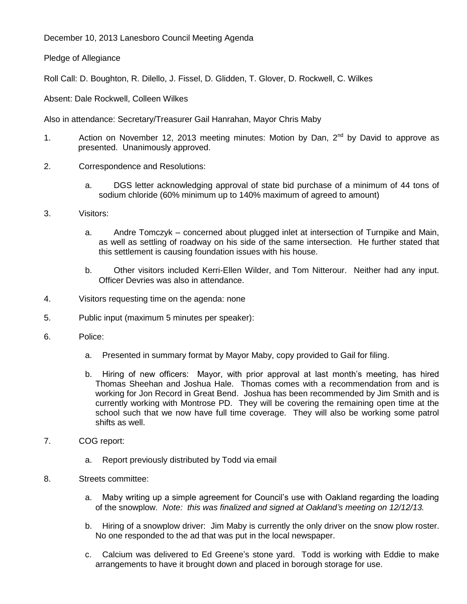December 10, 2013 Lanesboro Council Meeting Agenda

Pledge of Allegiance

Roll Call: D. Boughton, R. Dilello, J. Fissel, D. Glidden, T. Glover, D. Rockwell, C. Wilkes

Absent: Dale Rockwell, Colleen Wilkes

Also in attendance: Secretary/Treasurer Gail Hanrahan, Mayor Chris Maby

- 1. Action on November 12, 2013 meeting minutes: Motion by Dan, 2<sup>nd</sup> by David to approve as presented. Unanimously approved.
- 2. Correspondence and Resolutions:
	- a. DGS letter acknowledging approval of state bid purchase of a minimum of 44 tons of sodium chloride (60% minimum up to 140% maximum of agreed to amount)
- 3. Visitors:
	- a. Andre Tomczyk concerned about plugged inlet at intersection of Turnpike and Main, as well as settling of roadway on his side of the same intersection. He further stated that this settlement is causing foundation issues with his house.
	- b. Other visitors included Kerri-Ellen Wilder, and Tom Nitterour. Neither had any input. Officer Devries was also in attendance.
- 4. Visitors requesting time on the agenda: none
- 5. Public input (maximum 5 minutes per speaker):
- 6. Police:
	- a. Presented in summary format by Mayor Maby, copy provided to Gail for filing.
	- b. Hiring of new officers: Mayor, with prior approval at last month's meeting, has hired Thomas Sheehan and Joshua Hale. Thomas comes with a recommendation from and is working for Jon Record in Great Bend. Joshua has been recommended by Jim Smith and is currently working with Montrose PD. They will be covering the remaining open time at the school such that we now have full time coverage. They will also be working some patrol shifts as well.
- 7. COG report:
	- a. Report previously distributed by Todd via email
- 8. Streets committee:
	- a. Maby writing up a simple agreement for Council's use with Oakland regarding the loading of the snowplow. *Note: this was finalized and signed at Oakland's meeting on 12/12/13.*
	- b. Hiring of a snowplow driver: Jim Maby is currently the only driver on the snow plow roster. No one responded to the ad that was put in the local newspaper.
	- c. Calcium was delivered to Ed Greene's stone yard. Todd is working with Eddie to make arrangements to have it brought down and placed in borough storage for use.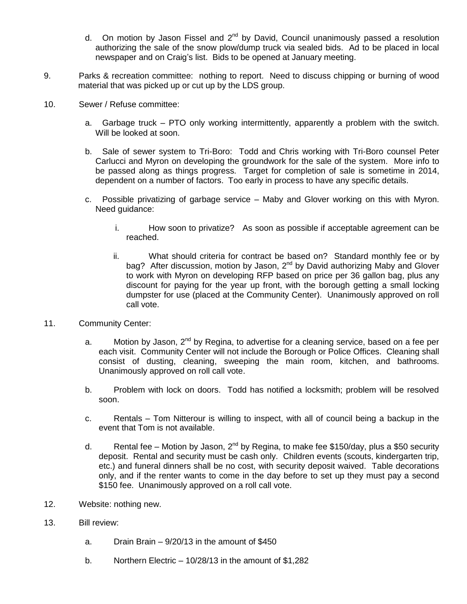- d. On motion by Jason Fissel and  $2^{nd}$  by David, Council unanimously passed a resolution authorizing the sale of the snow plow/dump truck via sealed bids. Ad to be placed in local newspaper and on Craig's list. Bids to be opened at January meeting.
- 9. Parks & recreation committee: nothing to report. Need to discuss chipping or burning of wood material that was picked up or cut up by the LDS group.
- 10. Sewer / Refuse committee:
	- a. Garbage truck PTO only working intermittently, apparently a problem with the switch. Will be looked at soon.
	- b. Sale of sewer system to Tri-Boro: Todd and Chris working with Tri-Boro counsel Peter Carlucci and Myron on developing the groundwork for the sale of the system. More info to be passed along as things progress. Target for completion of sale is sometime in 2014, dependent on a number of factors. Too early in process to have any specific details.
	- c. Possible privatizing of garbage service Maby and Glover working on this with Myron. Need guidance:
		- i. How soon to privatize? As soon as possible if acceptable agreement can be reached.
		- ii. What should criteria for contract be based on? Standard monthly fee or by bag? After discussion, motion by Jason, 2<sup>nd</sup> by David authorizing Maby and Glover to work with Myron on developing RFP based on price per 36 gallon bag, plus any discount for paying for the year up front, with the borough getting a small locking dumpster for use (placed at the Community Center). Unanimously approved on roll call vote.
- 11. Community Center:
	- a. Motion by Jason,  $2^{nd}$  by Regina, to advertise for a cleaning service, based on a fee per each visit. Community Center will not include the Borough or Police Offices. Cleaning shall consist of dusting, cleaning, sweeping the main room, kitchen, and bathrooms. Unanimously approved on roll call vote.
	- b. Problem with lock on doors. Todd has notified a locksmith; problem will be resolved soon.
	- c. Rentals Tom Nitterour is willing to inspect, with all of council being a backup in the event that Tom is not available.
	- d. Rental fee Motion by Jason, 2<sup>nd</sup> by Regina, to make fee \$150/day, plus a \$50 security deposit. Rental and security must be cash only. Children events (scouts, kindergarten trip, etc.) and funeral dinners shall be no cost, with security deposit waived. Table decorations only, and if the renter wants to come in the day before to set up they must pay a second \$150 fee. Unanimously approved on a roll call vote.
- 12. Website: nothing new.
- 13. Bill review:
	- a. Drain Brain 9/20/13 in the amount of \$450
	- b. Northern Electric 10/28/13 in the amount of \$1,282